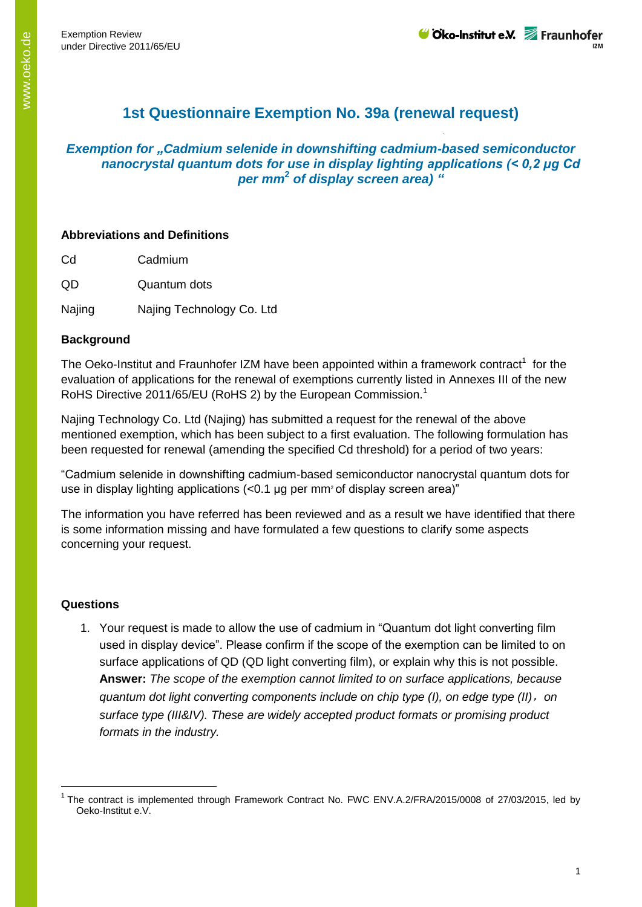# **1st Questionnaire Exemption No. 39a (renewal request)**

# *Exemption for "Cadmium selenide in downshifting cadmium-based semiconductor nanocrystal quantum dots for use in display lighting applications (< 0,2 μg Cd per mm***<sup>2</sup>** *of display screen area) "*

## **Abbreviations and Definitions**

Cd Cadmium

QD Quantum dots

Najing Najing Technology Co. Ltd

## **Background**

The Oeko-Institut and Fraunhofer IZM have been appointed within a framework contract<sup>1</sup> for the evaluation of applications for the renewal of exemptions currently listed in Annexes III of the new RoHS Directive 2011/65/EU (RoHS 2) by the European Commission.<sup>1</sup>

Najing Technology Co. Ltd (Najing) has submitted a request for the renewal of the above mentioned exemption, which has been subject to a first evaluation. The following formulation has been requested for renewal (amending the specified Cd threshold) for a period of two years:

"Cadmium selenide in downshifting cadmium-based semiconductor nanocrystal quantum dots for use in display lighting applications  $\left($ <0.1 µg per mm<sup>2</sup> of display screen area)"

The information you have referred has been reviewed and as a result we have identified that there is some information missing and have formulated a few questions to clarify some aspects concerning your request.

#### **Questions**

 $\overline{a}$ 

1. Your request is made to allow the use of cadmium in "Quantum dot light converting film used in display device". Please confirm if the scope of the exemption can be limited to on surface applications of QD (QD light converting film), or explain why this is not possible. **Answer:** *The scope of the exemption cannot limited to on surface applications, because quantum dot light converting components include on chip type (I), on edge type (II)*,*on surface type (III&IV). These are widely accepted product formats or promising product formats in the industry.*

<sup>&</sup>lt;sup>1</sup> The contract is implemented through Framework Contract No. FWC ENV.A.2/FRA/2015/0008 of 27/03/2015, led by Oeko-Institut e.V.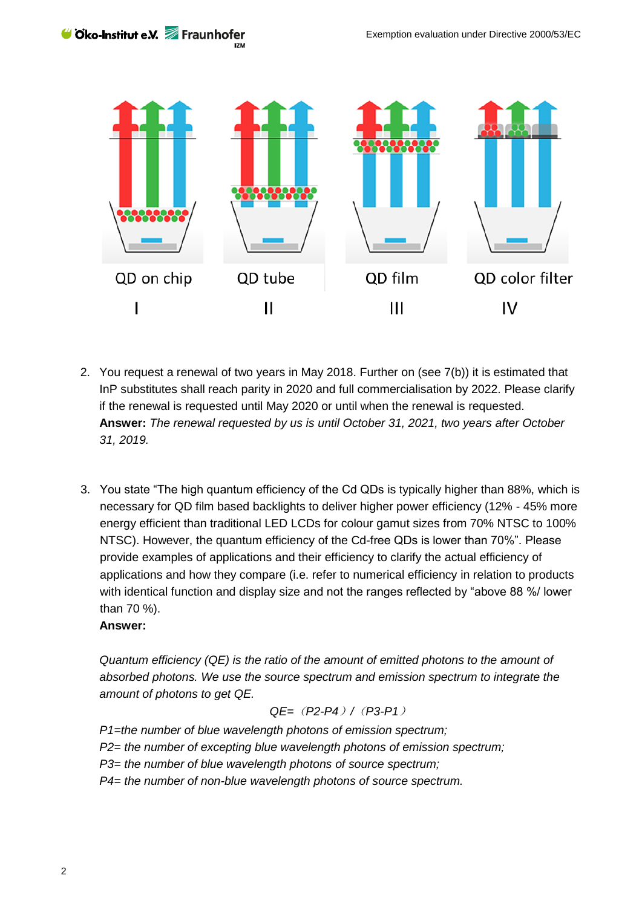Cko-Institut e.V. Fraunhofer



- 2. You request a renewal of two years in May 2018. Further on (see 7(b)) it is estimated that InP substitutes shall reach parity in 2020 and full commercialisation by 2022. Please clarify if the renewal is requested until May 2020 or until when the renewal is requested. **Answer:** *The renewal requested by us is until October 31, 2021, two years after October 31, 2019.*
- 3. You state "The high quantum efficiency of the Cd QDs is typically higher than 88%, which is necessary for QD film based backlights to deliver higher power efficiency (12% - 45% more energy efficient than traditional LED LCDs for colour gamut sizes from 70% NTSC to 100% NTSC). However, the quantum efficiency of the Cd-free QDs is lower than 70%". Please provide examples of applications and their efficiency to clarify the actual efficiency of applications and how they compare (i.e. refer to numerical efficiency in relation to products with identical function and display size and not the ranges reflected by "above 88 %/ lower than 70 %).

#### **Answer:**

*Quantum efficiency (QE) is the ratio of the amount of emitted photons to the amount of absorbed photons. We use the source spectrum and emission spectrum to integrate the amount of photons to get QE.*

$$
QE = (P2 - P4) / (P3 - P1)
$$

*P1=the number of blue wavelength photons of emission spectrum; P2= the number of excepting blue wavelength photons of emission spectrum; P3= the number of blue wavelength photons of source spectrum; P4= the number of non-blue wavelength photons of source spectrum.*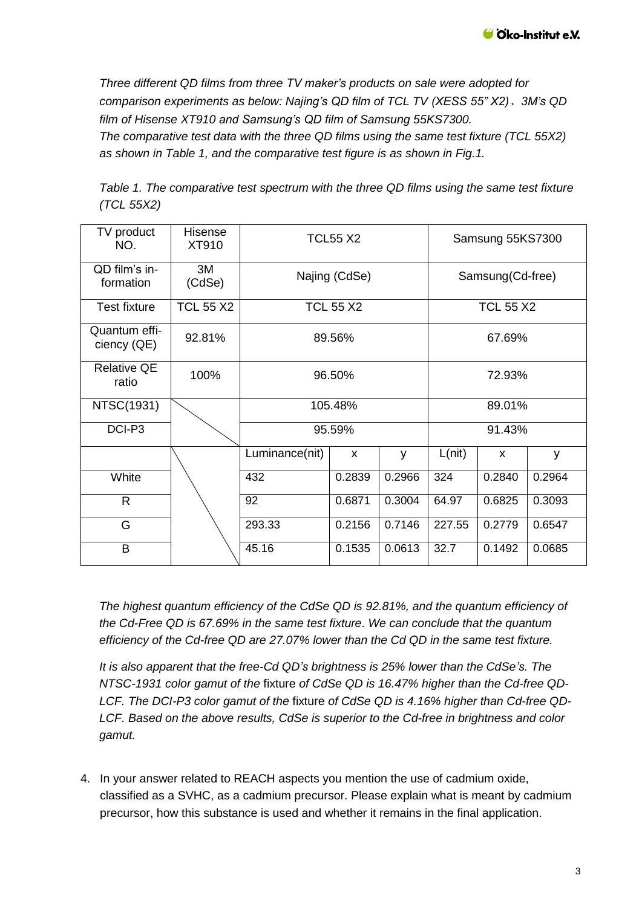*Three different QD films from three TV maker's products on sale were adopted for comparison experiments as below: Najing's QD film of TCL TV (XESS 55" X2)*、*3M's QD film of Hisense XT910 and Samsung's QD film of Samsung 55KS7300. The comparative test data with the three QD films using the same test fixture (TCL 55X2) as shown in Table 1, and the comparative test figure is as shown in Fig.1.*

*Table 1. The comparative test spectrum with the three QD films using the same test fixture (TCL 55X2)*

| TV product<br>NO.            | <b>Hisense</b><br>XT910 | <b>TCL55 X2</b>   |        |        | Samsung 55KS7300 |              |        |
|------------------------------|-------------------------|-------------------|--------|--------|------------------|--------------|--------|
| QD film's in-<br>formation   | 3M<br>(CdSe)            | Najing (CdSe)     |        |        | Samsung(Cd-free) |              |        |
| <b>Test fixture</b>          | <b>TCL 55 X2</b>        | <b>TCL 55 X2</b>  |        |        | <b>TCL 55 X2</b> |              |        |
| Quantum effi-<br>ciency (QE) | 92.81%                  | 89.56%            |        |        | 67.69%           |              |        |
| <b>Relative QE</b><br>ratio  | 100%                    | 96.50%            |        |        | 72.93%           |              |        |
| NTSC(1931)                   |                         | 105.48%<br>95.59% |        |        | 89.01%           |              |        |
| DCI-P3                       |                         |                   |        |        | 91.43%           |              |        |
|                              |                         | Luminance(nit)    | X      | y      | L(nit)           | $\mathsf{x}$ | y      |
| White                        |                         | 432               | 0.2839 | 0.2966 | 324              | 0.2840       | 0.2964 |
| $\mathsf{R}$                 |                         | 92                | 0.6871 | 0.3004 | 64.97            | 0.6825       | 0.3093 |
| G                            |                         | 293.33            | 0.2156 | 0.7146 | 227.55           | 0.2779       | 0.6547 |
| B                            |                         | 45.16             | 0.1535 | 0.0613 | 32.7             | 0.1492       | 0.0685 |

*The highest quantum efficiency of the CdSe QD is 92.81%, and the quantum efficiency of the Cd-Free QD is 67.69% in the same test fixture*. *We can conclude that the quantum efficiency of the Cd-free QD are 27.07% lower than the Cd QD in the same test fixture.*

*It is also apparent that the free-Cd QD's brightness is 25% lower than the CdSe's. The NTSC-1931 color gamut of the* fixture *of CdSe QD is 16.47% higher than the Cd-free QD-LCF. The DCI-P3 color gamut of the* fixture *of CdSe QD is 4.16% higher than Cd-free QD-LCF. Based on the above results, CdSe is superior to the Cd-free in brightness and color gamut.*

4. In your answer related to REACH aspects you mention the use of cadmium oxide, classified as a SVHC, as a cadmium precursor. Please explain what is meant by cadmium precursor, how this substance is used and whether it remains in the final application.